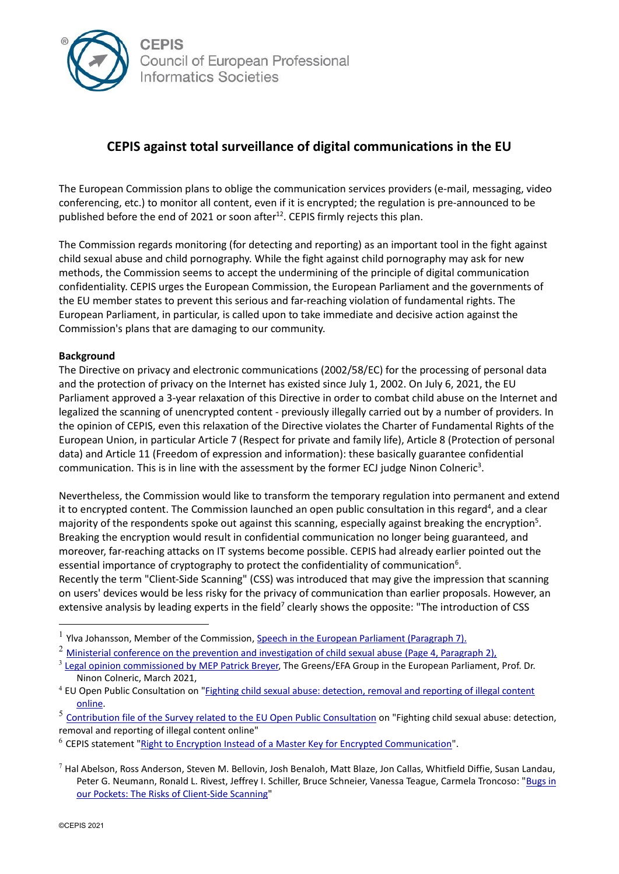

## **CEPIS against total surveillance of digital communications in the EU**

The European Commission plans to oblige the communication services providers (e-mail, messaging, video conferencing, etc.) to monitor all content, even if it is encrypted; the regulation is pre-announced to be published before the end of 2021 or soon after $^{12}$ . CEPIS firmly rejects this plan.

The Commission regards monitoring (for detecting and reporting) as an important tool in the fight against child sexual abuse and child pornography. While the fight against child pornography may ask for new methods, the Commission seems to accept the undermining of the principle of digital communication confidentiality. CEPIS urges the European Commission, the European Parliament and the governments of the EU member states to prevent this serious and far-reaching violation of fundamental rights. The European Parliament, in particular, is called upon to take immediate and decisive action against the Commission's plans that are damaging to our community.

## **Background**

The Directive on privacy and electronic communications (2002/58/EC) for the processing of personal data and the protection of privacy on the Internet has existed since July 1, 2002. On July 6, 2021, the EU Parliament approved a 3-year relaxation of this Directive in order to combat child abuse on the Internet and legalized the scanning of unencrypted content - previously illegally carried out by a number of providers. In the opinion of CEPIS, even this relaxation of the Directive violates the Charter of Fundamental Rights of the European Union, in particular Article 7 (Respect for private and family life), Article 8 (Protection of personal data) and Article 11 (Freedom of expression and information): these basically guarantee confidential communication. This is in line with the assessment by the former ECJ judge Ninon Colneric<sup>3</sup>.

Nevertheless, the Commission would like to transform the temporary regulation into permanent and extend it to encrypted content. The Commission launched an open public consultation in this regard<sup>4</sup>, and a clear majority of the respondents spoke out against this scanning, especially against breaking the encryption<sup>5</sup>. Breaking the encryption would result in confidential communication no longer being guaranteed, and moreover, far-reaching attacks on IT systems become possible. CEPIS had already earlier pointed out the essential importance of cryptography to protect the confidentiality of communication<sup>6</sup>. Recently the term "Client-Side Scanning" (CSS) was introduced that may give the impression that scanning on users' devices would be less risky for the privacy of communication than earlier proposals. However, an extensive analysis by leading experts in the field<sup>7</sup> clearly shows the opposite: "The introduction of CSS

<sup>1</sup> Ylva Johansson, Member of the Commission[, Speech in the European Parliament \(Paragraph 7\).](https://www.europarl.europa.eu/doceo/document/CRE-9-2021-07-05-ITM-017_EN.html)

<sup>&</sup>lt;sup>2</sup> [Ministerial conference on the prevention and investigation of child sexual abuse](https://slovenian-presidency.consilium.europa.eu/media/x3rjwq2a/csa-conference-joint-statement.pdf) (Page 4, Paragraph 2),

<sup>&</sup>lt;sup>3</sup> [Legal opinion commissioned by MEP Patrick Breyer,](https://www.patrick-breyer.de/wp-content/uploads/2021/03/Legal-Opinion-Screening-for-child-pornography-2021-03-04.pdf) The Greens/EFA Group in the European Parliament, Prof. Dr. Ninon Colneric, March 2021,

<sup>4</sup> EU Open Public Consultation on ["Fighting child sexual abuse: detection, removal and reporting of illegal content](file:///C:/Users/ErikaGutmane/AppData/Local/Microsoft/Windows/INetCache/Content.Outlook/E2769766/%22,%20https:/ec.europa.eu/info/law/better-regulation/have-your-say/initiatives/12726-Child-sexual-abuse-online-detection-removal-and-reporting-/public-consultation_en)  [online.](file:///C:/Users/ErikaGutmane/AppData/Local/Microsoft/Windows/INetCache/Content.Outlook/E2769766/%22,%20https:/ec.europa.eu/info/law/better-regulation/have-your-say/initiatives/12726-Child-sexual-abuse-online-detection-removal-and-reporting-/public-consultation_en)

<sup>&</sup>lt;sup>5</sup> [Contribution file of the Survey related to the EU Open Public Consultation](https://ec.europa.eu/info/law/better-regulation/have-your-say/initiatives/12726-Fighting-child-sexual-abuse-detection-removal-and-reporting-of-illegal-content-online/public-consultation_en) on "Fighting child sexual abuse: detection, removal and reporting of illegal content online"

<sup>6</sup> CEPIS statement "Right to Encryption Instead of a [Master Key for Encrypted Communication"](https://cepis.org/app/uploads/2020/11/Right-to-encryption-instead-of-a-master-key-for-chat-communication-CEPIS-LSI-SIN.pdf).

 $^7$  Hal Abelson, Ross Anderson, Steven M. Bellovin, Josh Benaloh, Matt Blaze, Jon Callas, Whitfield Diffie, Susan Landau, Peter G. Neumann, Ronald L. Rivest, Jeffrey I. Schiller, Bruce Schneier, Vanessa Teague, Carmela Troncoso: ["Bugs in](http://arxiv-export-lb.library.cornell.edu/abs/2110.07450)  [our Pockets: The Risks of Client-Side Scanning"](http://arxiv-export-lb.library.cornell.edu/abs/2110.07450)